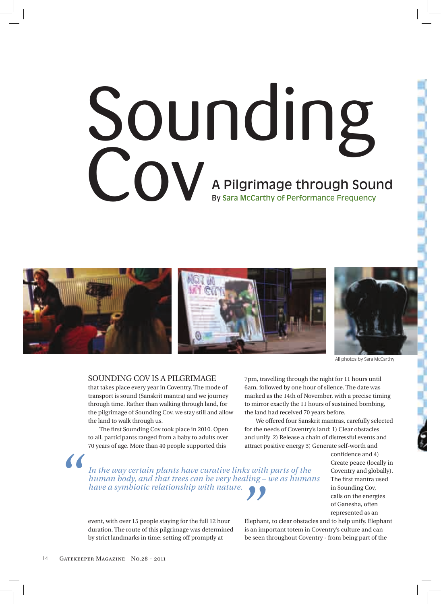## Sounding Cov A Pilgrimage through Sound By Sara McCarthy of Performance Frequency



All photos by Sara McCarthy

## Sounding Cov iS a pilgrimage

that takes place every year in Coventry. The mode of transport is sound (Sanskrit mantra) and we journey through time. Rather than walking through land, for the pilgrimage of Sounding Cov, we stay still and allow the land to walk through us.

The first Sounding Cov took place in 2010. Open to all, participants ranged from a baby to adults over 70 years of age. more than 40 people supported this

*In the way certain plants have curative links with parts of the human body, and that trees can be very healing – we as humans* 

7pm, travelling through the night for 11 hours until 6am, followed by one hour of silence. The date was marked as the 14th of November, with a precise timing to mirror exactly the 11 hours of sustained bombing, the land had received 70 years before.

We offered four Sanskrit mantras, carefully selected for the needs of Coventry's land: 1) Clear obstacles and unify 2) Release a chain of distressful events and attract positive energy 3) Generate self-worth and

> confidence and 4) Create peace (locally in Coventry and globally). The first mantra used in Sounding Cov, calls on the energies of ganesha, often represented as an

event, with over 15 people staying for the full 12 hour duration. The route of this pilgrimage was determined by strict landmarks in time: setting off promptly at *have a symbiotic relationship with nature.*<br> **Elephant Action** event, with over 15 people staying for the full 12 hour Elepha<br>
duration. The route of this pilgrimage was determined is an in<br>
by strict landmarks in time: s

Elephant, to clear obstacles and to help unify. Elephant is an important totem in Coventry's culture and can be seen throughout Coventry - from being part of the

*"*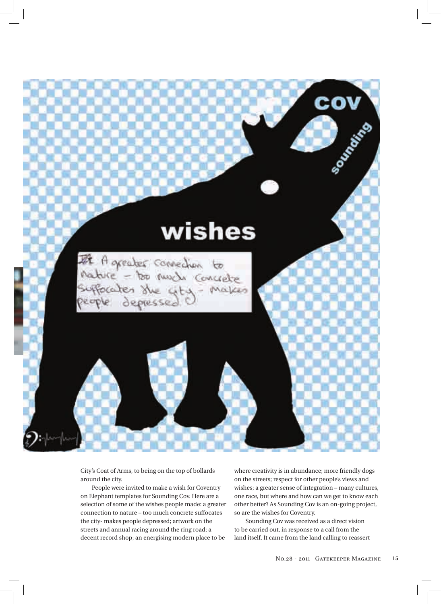

City's Coat of Arms, to being on the top of bollards around the city.

people were invited to make a wish for Coventry on elephant templates for Sounding Cov. Here are a selection of some of the wishes people made: a greater connection to nature – too much concrete suffocates the city- makes people depressed; artwork on the streets and annual racing around the ring road; a decent record shop; an energising modern place to be

where creativity is in abundance; more friendly dogs on the streets; respect for other people's views and wishes; a greater sense of integration – many cultures, one race, but where and how can we get to know each other better? as Sounding Cov is an on-going project, so are the wishes for Coventry.

Sounding Cov was received as a direct vision to be carried out, in response to a call from the land itself. it came from the land calling to reassert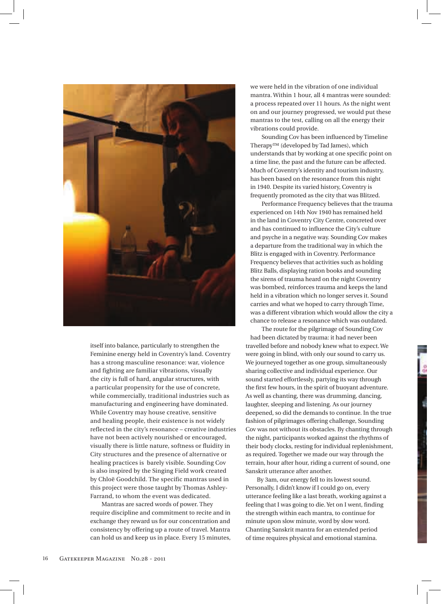

itself into balance, particularly to strengthen the Feminine energy held in Coventry's land. Coventry has a strong masculine resonance: war, violence and fighting are familiar vibrations, visually the city is full of hard, angular structures, with a particular propensity for the use of concrete, while commercially, traditional industries such as manufacturing and engineering have dominated. While Coventry may house creative, sensitive and healing people, their existence is not widely reflected in the city's resonance – creative industries have not been actively nourished or encouraged, visually there is little nature, softness or fluidity in City structures and the presence of alternative or healing practices is barely visible. Sounding Cov is also inspired by the Singing Field work created by Chloë goodchild. The specific mantras used in this project were those taught by Thomas Ashley-Farrand, to whom the event was dedicated.

Mantras are sacred words of power. They require discipline and commitment to recite and in exchange they reward us for our concentration and consistency by offering up a route of travel. mantra can hold us and keep us in place. Every 15 minutes, we were held in the vibration of one individual mantra. Within 1 hour, all 4 mantras were sounded: a process repeated over 11 hours. as the night went on and our journey progressed, we would put these mantras to the test, calling on all the energy their vibrations could provide.

Sounding Cov has been influenced by Timeline Therapy™ (developed by Tad James), which understands that by working at one specific point on a time line, the past and the future can be affected. much of Coventry's identity and tourism industry, has been based on the resonance from this night in 1940. Despite its varied history, Coventry is frequently promoted as the city that was Blitzed.

performance Frequency believes that the trauma experienced on 14th Nov 1940 has remained held in the land in Coventry City Centre, concreted over and has continued to influence the City's culture and psyche in a negative way. Sounding Cov makes a departure from the traditional way in which the Blitz is engaged with in Coventry. performance Frequency believes that activities such as holding Blitz Balls, displaying ration books and sounding the sirens of trauma heard on the night Coventry was bombed, reinforces trauma and keeps the land held in a vibration which no longer serves it. Sound carries and what we hoped to carry through Time, was a different vibration which would allow the city a chance to release a resonance which was outdated.

The route for the pilgrimage of Sounding Cov had been dictated by trauma: it had never been travelled before and nobody knew what to expect. We were going in blind, with only our sound to carry us. We journeyed together as one group, simultaneously sharing collective and individual experience. our sound started effortlessly, partying its way through the first few hours, in the spirit of buoyant adventure. As well as chanting, there was drumming, dancing, laughter, sleeping and listening. As our journey deepened, so did the demands to continue. in the true fashion of pilgrimages offering challenge, Sounding Cov was not without its obstacles. By chanting through the night, participants worked against the rhythms of their body clocks, resting for individual replenishment, as required. Together we made our way through the terrain, hour after hour, riding a current of sound, one Sanskrit utterance after another.

By 3am, our energy fell to its lowest sound. Personally, I didn't know if I could go on, every utterance feeling like a last breath, working against a feeling that I was going to die. Yet on I went, finding the strength within each mantra, to continue for minute upon slow minute, word by slow word. Chanting Sanskrit mantra for an extended period of time requires physical and emotional stamina.